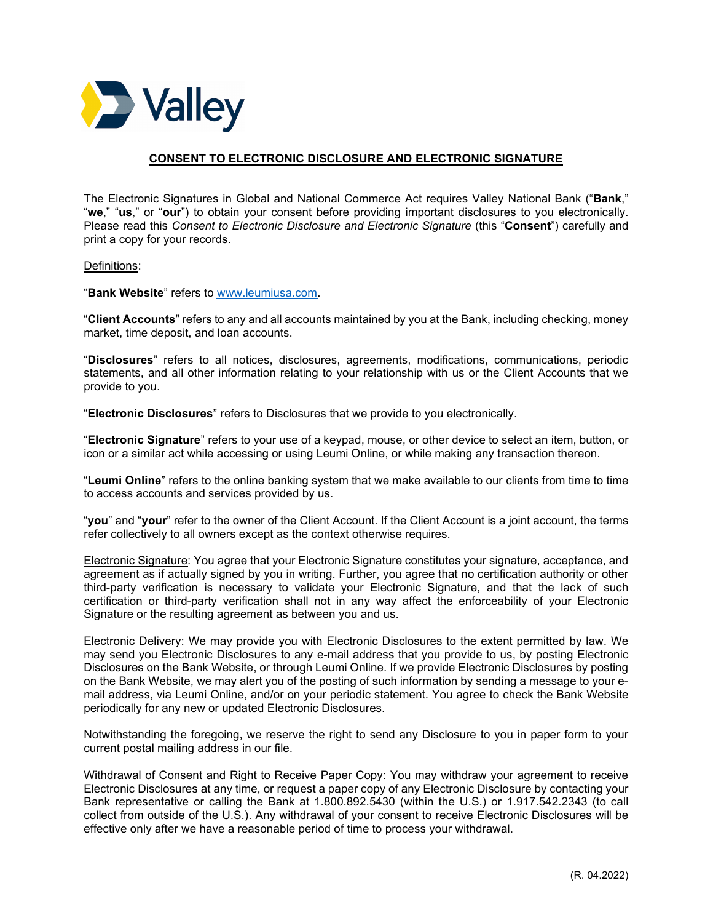

## CONSENT TO ELECTRONIC DISCLOSURE AND ELECTRONIC SIGNATURE

The Electronic Signatures in Global and National Commerce Act requires Valley National Bank ("Bank," "we," "us," or "our") to obtain your consent before providing important disclosures to you electronically. Please read this Consent to Electronic Disclosure and Electronic Signature (this "Consent") carefully and print a copy for your records.

## Definitions:

"Bank Website" refers to [www.leumiusa.com](https://www.leumiusa.com/).

"Client Accounts" refers to any and all accounts maintained by you at the Bank, including checking, money market, time deposit, and loan accounts.

"Disclosures" refers to all notices, disclosures, agreements, modifications, communications, periodic statements, and all other information relating to your relationship with us or the Client Accounts that we provide to you.

"Electronic Disclosures" refers to Disclosures that we provide to you electronically.

"Electronic Signature" refers to your use of a keypad, mouse, or other device to select an item, button, or icon or a similar act while accessing or using Leumi Online, or while making any transaction thereon.

"Leumi Online" refers to the online banking system that we make available to our clients from time to time to access accounts and services provided by us.

"you" and "your" refer to the owner of the Client Account. If the Client Account is a joint account, the terms refer collectively to all owners except as the context otherwise requires.

Electronic Signature: You agree that your Electronic Signature constitutes your signature, acceptance, and agreement as if actually signed by you in writing. Further, you agree that no certification authority or other third-party verification is necessary to validate your Electronic Signature, and that the lack of such certification or third-party verification shall not in any way affect the enforceability of your Electronic Signature or the resulting agreement as between you and us.

Electronic Delivery: We may provide you with Electronic Disclosures to the extent permitted by law. We may send you Electronic Disclosures to any e-mail address that you provide to us, by posting Electronic Disclosures on the Bank Website, or through Leumi Online. If we provide Electronic Disclosures by posting on the Bank Website, we may alert you of the posting of such information by sending a message to your email address, via Leumi Online, and/or on your periodic statement. You agree to check the Bank Website periodically for any new or updated Electronic Disclosures.

Notwithstanding the foregoing, we reserve the right to send any Disclosure to you in paper form to your current postal mailing address in our file.

Withdrawal of Consent and Right to Receive Paper Copy: You may withdraw your agreement to receive Electronic Disclosures at any time, or request a paper copy of any Electronic Disclosure by contacting your Bank representative or calling the Bank at 1.800.892.5430 (within the U.S.) or 1.917.542.2343 (to call collect from outside of the U.S.). Any withdrawal of your consent to receive Electronic Disclosures will be effective only after we have a reasonable period of time to process your withdrawal.